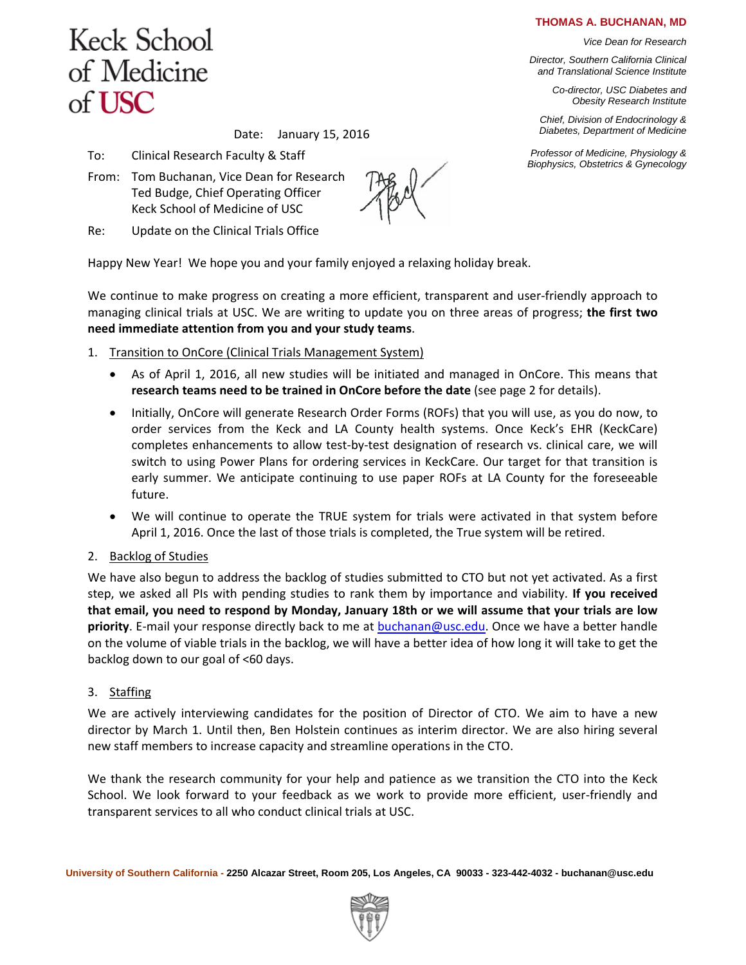#### **THOMAS A. BUCHANAN, MD**

*Vice Dean for Research*

*Director, Southern California Clinical and Translational Science Institute*

> *Co-director, USC Diabetes and Obesity Research Institute*

 *Chief, Division of Endocrinology & Diabetes, Department of Medicine*

*Professor of Medicine, Physiology & Biophysics, Obstetrics & Gynecology*

# **Keck School** of Medicine of USC

Date: January 15, 2016

- To: Clinical Research Faculty & Staff
- From: Tom Buchanan, Vice Dean for Research Ted Budge, Chief Operating Officer Keck School of Medicine of USC
- Re: Update on the Clinical Trials Office

Happy New Year! We hope you and your family enjoyed a relaxing holiday break.

We continue to make progress on creating a more efficient, transparent and user-friendly approach to managing clinical trials at USC. We are writing to update you on three areas of progress; **the first two need immediate attention from you and your study teams**.

- 1. Transition to OnCore (Clinical Trials Management System)
	- As of April 1, 2016, all new studies will be initiated and managed in OnCore. This means that **research teams need to be trained in OnCore before the date** (see page 2 for details).
	- Initially, OnCore will generate Research Order Forms (ROFs) that you will use, as you do now, to order services from the Keck and LA County health systems. Once Keck's EHR (KeckCare) completes enhancements to allow test-by-test designation of research vs. clinical care, we will switch to using Power Plans for ordering services in KeckCare. Our target for that transition is early summer. We anticipate continuing to use paper ROFs at LA County for the foreseeable future.
	- We will continue to operate the TRUE system for trials were activated in that system before April 1, 2016. Once the last of those trials is completed, the True system will be retired.
- 2. Backlog of Studies

We have also begun to address the backlog of studies submitted to CTO but not yet activated. As a first step, we asked all PIs with pending studies to rank them by importance and viability. **If you received that email, you need to respond by Monday, January 18th or we will assume that your trials are low priority**. E-mail your response directly back to me at [buchanan@usc.edu.](mailto:buchanan@usc.edu) Once we have a better handle on the volume of viable trials in the backlog, we will have a better idea of how long it will take to get the backlog down to our goal of <60 days.

3. Staffing

We are actively interviewing candidates for the position of Director of CTO. We aim to have a new director by March 1. Until then, Ben Holstein continues as interim director. We are also hiring several new staff members to increase capacity and streamline operations in the CTO.

We thank the research community for your help and patience as we transition the CTO into the Keck School. We look forward to your feedback as we work to provide more efficient, user-friendly and transparent services to all who conduct clinical trials at USC.